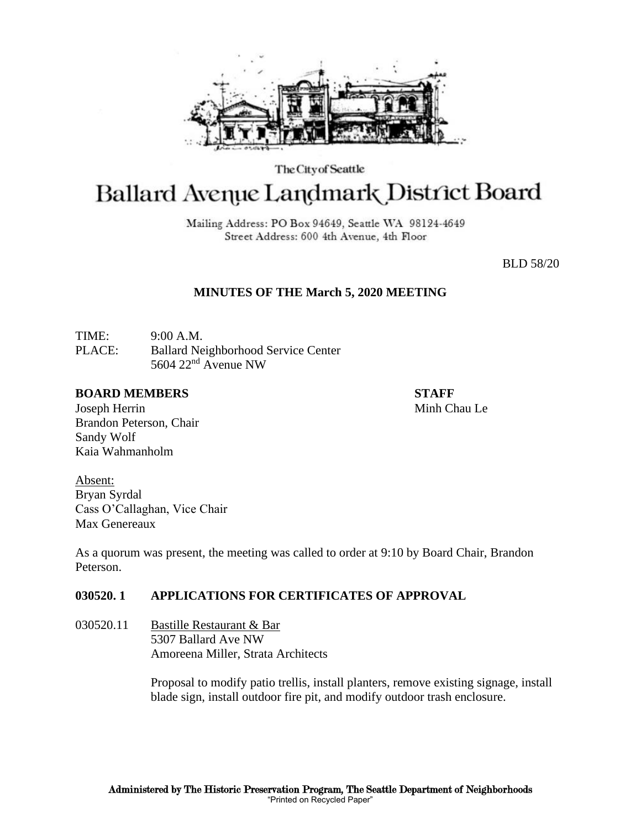

The City of Seattle

# Ballard Avenue Landmark District Board

Mailing Address: PO Box 94649, Seattle WA 98124-4649 Street Address: 600 4th Avenue, 4th Floor

BLD 58/20

# **MINUTES OF THE March 5, 2020 MEETING**

TIME: 9:00 A.M. PLACE: Ballard Neighborhood Service Center 5604 22nd Avenue NW

#### **BOARD MEMBERS STAFF**

Joseph Herrin Minh Chau Le Brandon Peterson, Chair Sandy Wolf Kaia Wahmanholm

Absent: Bryan Syrdal Cass O'Callaghan, Vice Chair Max Genereaux

As a quorum was present, the meeting was called to order at 9:10 by Board Chair, Brandon Peterson.

# **030520. 1 APPLICATIONS FOR CERTIFICATES OF APPROVAL**

030520.11 Bastille Restaurant & Bar 5307 Ballard Ave NW Amoreena Miller, Strata Architects

> Proposal to modify patio trellis, install planters, remove existing signage, install blade sign, install outdoor fire pit, and modify outdoor trash enclosure.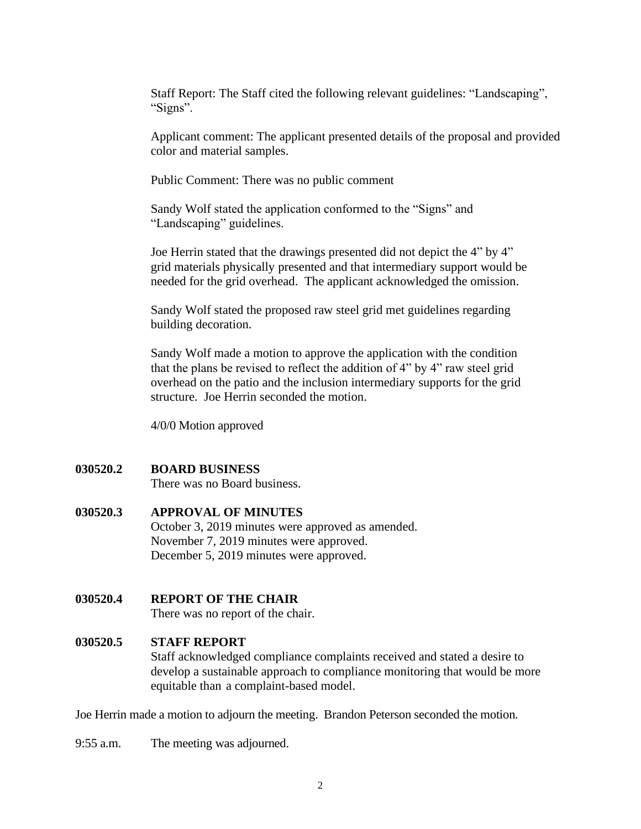Staff Report: The Staff cited the following relevant guidelines: "Landscaping", "Signs".

Applicant comment: The applicant presented details of the proposal and provided color and material samples.

Public Comment: There was no public comment

 Sandy Wolf stated the application conformed to the "Signs" and "Landscaping" guidelines.

Joe Herrin stated that the drawings presented did not depict the 4" by 4" grid materials physically presented and that intermediary support would be needed for the grid overhead. The applicant acknowledged the omission.

Sandy Wolf stated the proposed raw steel grid met guidelines regarding building decoration.

Sandy Wolf made a motion to approve the application with the condition that the plans be revised to reflect the addition of 4" by 4" raw steel grid overhead on the patio and the inclusion intermediary supports for the grid structure. Joe Herrin seconded the motion.

4/0/0 Motion approved

## **030520.2 BOARD BUSINESS**

There was no Board business.

### **030520.3 APPROVAL OF MINUTES**

October 3, 2019 minutes were approved as amended. November 7, 2019 minutes were approved. December 5, 2019 minutes were approved.

# **030520.4 REPORT OF THE CHAIR**

There was no report of the chair.

#### **030520.5 STAFF REPORT**

Staff acknowledged compliance complaints received and stated a desire to develop a sustainable approach to compliance monitoring that would be more equitable than a complaint-based model.

Joe Herrin made a motion to adjourn the meeting. Brandon Peterson seconded the motion.

9:55 a.m. The meeting was adjourned.